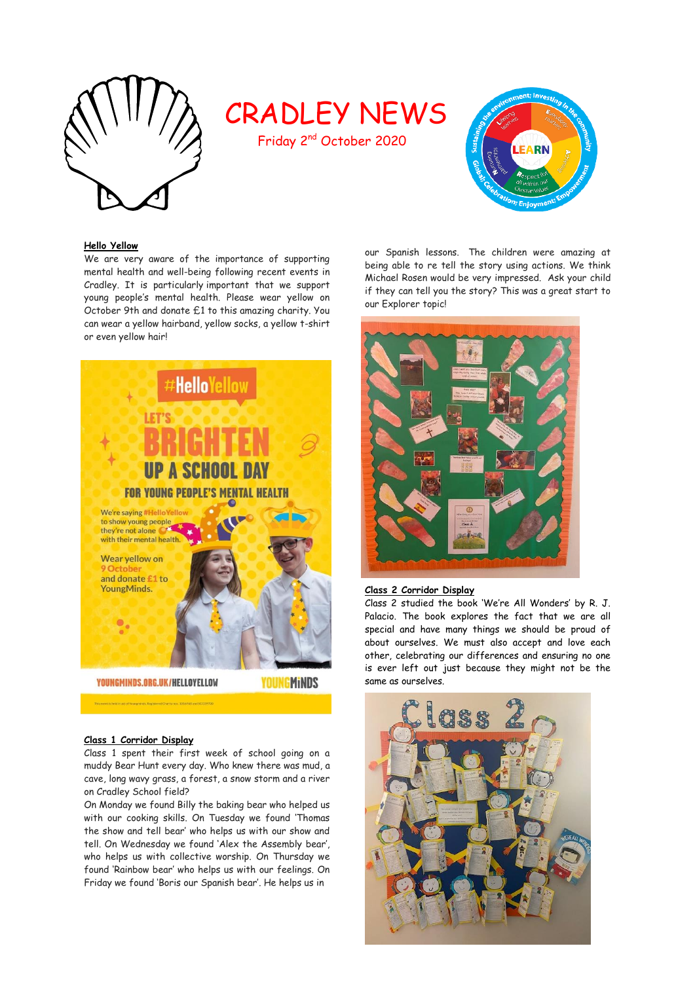

# CRADLEY NEWS

Friday 2nd October 2020



# **Hello Yellow**

We are very aware of the importance of supporting mental health and well-being following recent events in Cradley. It is particularly important that we support young people's mental health. Please wear yellow on October 9th and donate £1 to this amazing charity. You can wear a yellow hairband, yellow socks, a yellow t-shirt or even yellow hair!



YOUNGMINDS.ORG.UK/HELLOYELLOW

**MINDS** 

# **Class 1 Corridor Display**

Class 1 spent their first week of school going on a muddy Bear Hunt every day. Who knew there was mud, a cave, long wavy grass, a forest, a snow storm and a river on Cradley School field?

On Monday we found Billy the baking bear who helped us with our cooking skills. On Tuesday we found 'Thomas the show and tell bear' who helps us with our show and tell. On Wednesday we found 'Alex the Assembly bear', who helps us with collective worship. On Thursday we found 'Rainbow bear' who helps us with our feelings. On Friday we found 'Boris our Spanish bear'. He helps us in

our Spanish lessons. The children were amazing at being able to re tell the story using actions. We think Michael Rosen would be very impressed. Ask your child if they can tell you the story? This was a great start to our Explorer topic!



#### **Class 2 Corridor Display**

Class 2 studied the book 'We're All Wonders' by R. J. Palacio. The book explores the fact that we are all special and have many things we should be proud of about ourselves. We must also accept and love each other, celebrating our differences and ensuring no one is ever left out just because they might not be the same as ourselves.

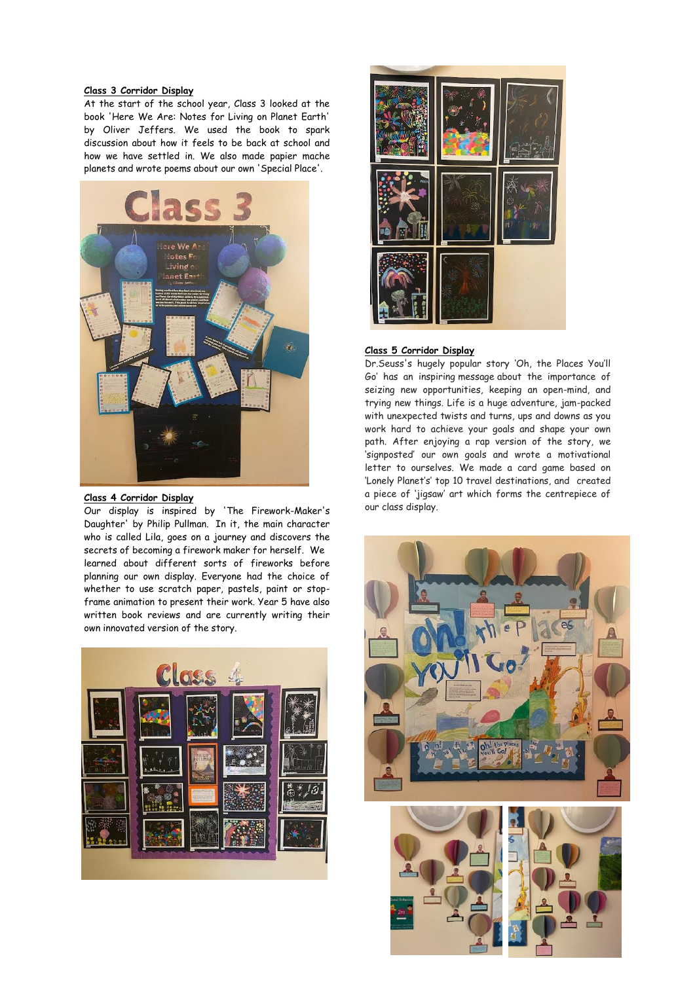# **Class 3 Corridor Display**

At the start of the school year, Class 3 looked at the book 'Here We Are: Notes for Living on Planet Earth' by Oliver Jeffers. We used the book to spark discussion about how it feels to be back at school and how we have settled in. We also made papier mache planets and wrote poems about our own 'Special Place'.



# **Class 4 Corridor Display**

Our display is inspired by 'The Firework-Maker's Daughter' by Philip Pullman. In it, the main character who is called Lila, goes on a journey and discovers the secrets of becoming a firework maker for herself. We learned about different sorts of fireworks before planning our own display. Everyone had the choice of whether to use scratch paper, pastels, paint or stopframe animation to present their work. Year 5 have also written book reviews and are currently writing their own innovated version of the story.





# **Class 5 Corridor Display**

Dr.Seuss's hugely popular story 'Oh, the Places You'll Go' has an inspiring message about the importance of seizing new opportunities, keeping an open-mind, and trying new things. Life is a huge adventure, jam-packed with unexpected twists and turns, ups and downs as you work hard to achieve your goals and shape your own path. After enjoying a rap version of the story, we 'signposted' our own goals and wrote a motivational letter to ourselves. We made a card game based on 'Lonely Planet's' top 10 travel destinations, and created a piece of 'jigsaw' art which forms the centrepiece of our class display.

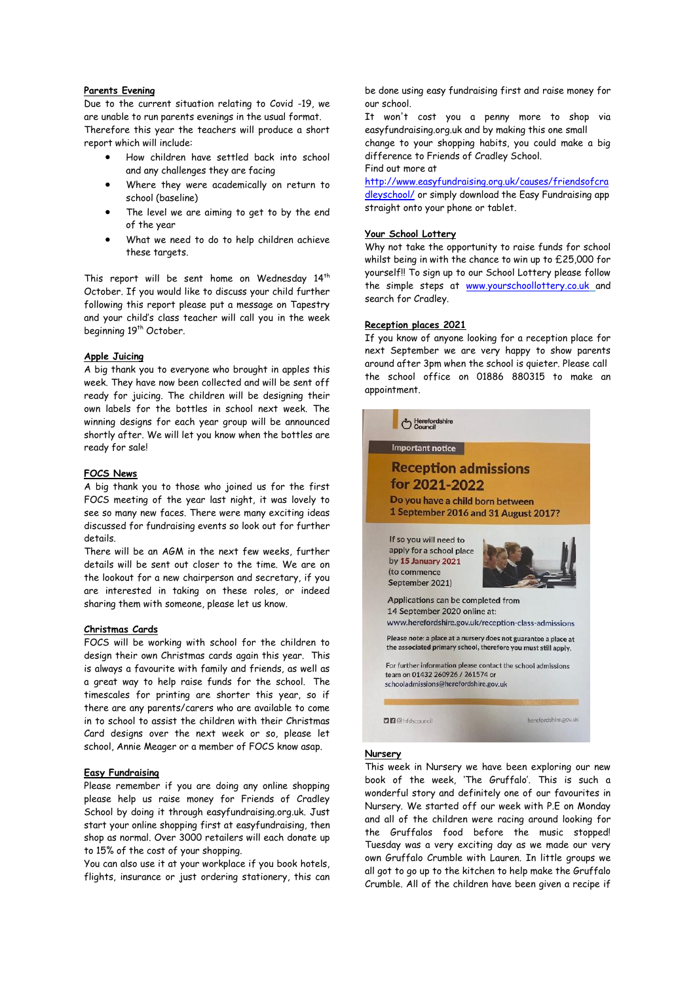#### **Parents Evening**

Due to the current situation relating to Covid -19, we are unable to run parents evenings in the usual format. Therefore this year the teachers will produce a short report which will include:

- How children have settled back into school and any challenges they are facing
- Where they were academically on return to school (baseline)
- The level we are aiming to get to by the end of the year
- What we need to do to help children achieve these targets.

This report will be sent home on Wednesday 14<sup>th</sup> October. If you would like to discuss your child further following this report please put a message on Tapestry and your child's class teacher will call you in the week beginning 19<sup>th</sup> October.

#### **Apple Juicing**

A big thank you to everyone who brought in apples this week. They have now been collected and will be sent off ready for juicing. The children will be designing their own labels for the bottles in school next week. The winning designs for each year group will be announced shortly after. We will let you know when the bottles are ready for sale!

#### **FOCS News**

A big thank you to those who joined us for the first FOCS meeting of the year last night, it was lovely to see so many new faces. There were many exciting ideas discussed for fundraising events so look out for further details.

There will be an AGM in the next few weeks, further details will be sent out closer to the time. We are on the lookout for a new chairperson and secretary, if you are interested in taking on these roles, or indeed sharing them with someone, please let us know.

#### **Christmas Cards**

FOCS will be working with school for the children to design their own Christmas cards again this year. This is always a favourite with family and friends, as well as a great way to help raise funds for the school. The timescales for printing are shorter this year, so if there are any parents/carers who are available to come in to school to assist the children with their Christmas Card designs over the next week or so, please let school, Annie Meager or a member of FOCS know asap.

# **Easy Fundraising**

Please remember if you are doing any online shopping please help us raise money for Friends of Cradley School by doing it through easyfundraising.org.uk. Just start your online shopping first at easyfundraising, then shop as normal. Over 3000 retailers will each donate up to 15% of the cost of your shopping.

You can also use it at your workplace if you book hotels, flights, insurance or just ordering stationery, this can

be done using easy fundraising first and raise money for our school.

It won't cost you a penny more to shop via easyfundraising.org.uk and by making this one small

change to your shopping habits, you could make a big difference to Friends of Cradley School.

Find out more at

[http://www.easyfundraising.org.uk/causes/friendsofcra](http://www.easyfundraising.org.uk/causes/friendsofcradleyschool/) [dleyschool/](http://www.easyfundraising.org.uk/causes/friendsofcradleyschool/) or simply download the Easy Fundraising app straight onto your phone or tablet.

# **Your School Lottery**

Why not take the opportunity to raise funds for school whilst being in with the chance to win up to £25,000 for yourself!! To sign up to our School Lottery please follow the simple steps at [www.yourschoollottery.co.uk](http://www.yourschoollottery.co.uk/) and search for Cradley.

#### **Reception places 2021**

If you know of anyone looking for a reception place for next September we are very happy to show parents around after 3pm when the school is quieter. Please call the school office on 01886 880315 to make an appointment.



#### **Nursery**

This week in Nursery we have been exploring our new book of the week, 'The Gruffalo'. This is such a wonderful story and definitely one of our favourites in Nursery. We started off our week with P.E on Monday and all of the children were racing around looking for the Gruffalos food before the music stopped! Tuesday was a very exciting day as we made our very own Gruffalo Crumble with Lauren. In little groups we all got to go up to the kitchen to help make the Gruffalo Crumble. All of the children have been given a recipe if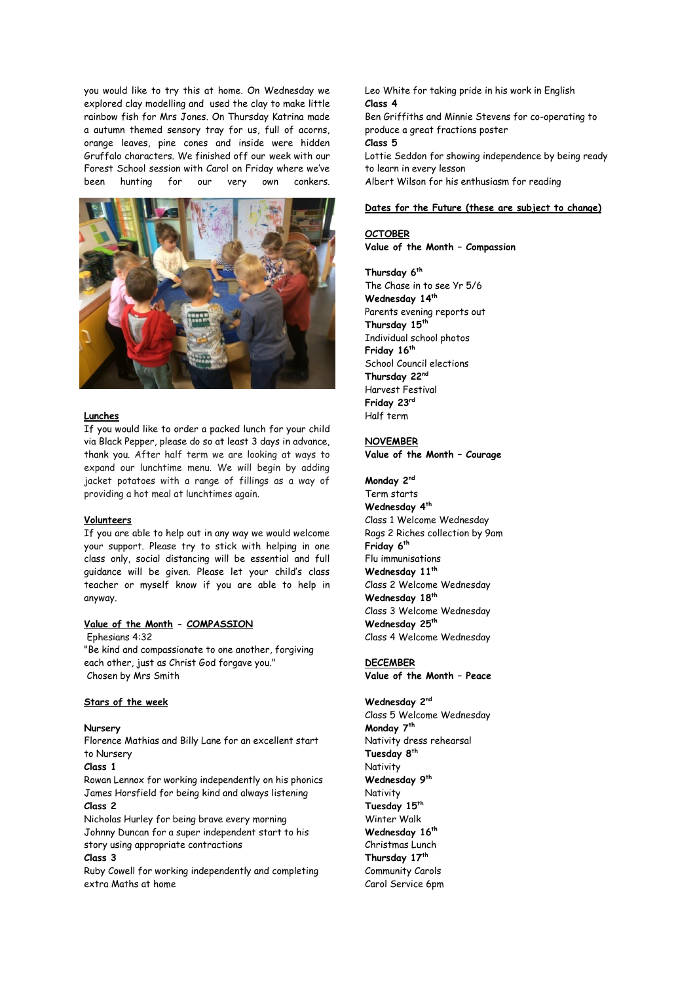you would like to try this at home. On Wednesday we explored clay modelling and used the clay to make little rainbow fish for Mrs Jones. On Thursday Katrina made a autumn themed sensory tray for us, full of acorns, orange leaves, pine cones and inside were hidden Gruffalo characters. We finished off our week with our Forest School session with Carol on Friday where we've been hunting for our very own conkers.



#### **Lunches**

If you would like to order a packed lunch for your child via Black Pepper, please do so at least 3 days in advance, thank you. After half term we are looking at ways to expand our lunchtime menu. We will begin by adding jacket potatoes with a range of fillings as a way of providing a hot meal at lunchtimes again.

#### **Volunteers**

If you are able to help out in any way we would welcome your support. Please try to stick with helping in one class only, social distancing will be essential and full guidance will be given. Please let your child's class teacher or myself know if you are able to help in anyway.

# **Value of the Month - COMPASSION**

Ephesians 4:32

"Be kind and compassionate to one another, forgiving each other, just as Christ God forgave you." Chosen by Mrs Smith

#### **Stars of the week**

#### **Nursery**

Florence Mathias and Billy Lane for an excellent start to Nursery

#### **Class 1**

Rowan Lennox for working independently on his phonics James Horsfield for being kind and always listening **Class 2**

Nicholas Hurley for being brave every morning Johnny Duncan for a super independent start to his story using appropriate contractions

# **Class 3**

Ruby Cowell for working independently and completing extra Maths at home

Leo White for taking pride in his work in English **Class 4** Ben Griffiths and Minnie Stevens for co-operating to produce a great fractions poster **Class 5** Lottie Seddon for showing independence by being ready to learn in every lesson Albert Wilson for his enthusiasm for reading

#### **Dates for the Future (these are subject to change)**

#### **OCTOBER**

**Value of the Month – Compassion**

**Thursday 6th** The Chase in to see Yr 5/6 **Wednesday 14th** Parents evening reports out **Thursday 15th** Individual school photos **Friday 16th** School Council elections **Thursday 22nd** Harvest Festival **Friday 23rd** Half term

## **NOVEMBER**

**Value of the Month – Courage**

**Monday 2nd** Term starts **Wednesday 4th** Class 1 Welcome Wednesday Rags 2 Riches collection by 9am **Friday 6th** Flu immunisations **Wednesday 11th** Class 2 Welcome Wednesday **Wednesday 18th** Class 3 Welcome Wednesday **Wednesday 25th** Class 4 Welcome Wednesday

# **DECEMBER**

**Value of the Month – Peace**

# **Wednesday 2nd**

Class 5 Welcome Wednesday **Monday 7th** Nativity dress rehearsal **Tuesday 8th Nativity Wednesday 9th Nativity Tuesday 15th** Winter Walk **Wednesday 16th** Christmas Lunch **Thursday 17th** Community Carols Carol Service 6pm